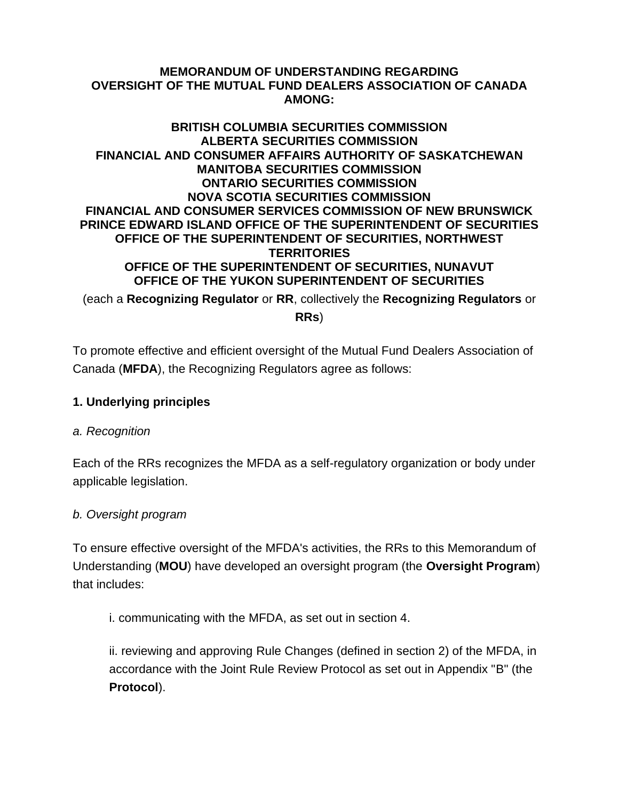#### **MEMORANDUM OF UNDERSTANDING REGARDING OVERSIGHT OF THE MUTUAL FUND DEALERS ASSOCIATION OF CANADA AMONG:**

#### **BRITISH COLUMBIA SECURITIES COMMISSION ALBERTA SECURITIES COMMISSION FINANCIAL AND CONSUMER AFFAIRS AUTHORITY OF SASKATCHEWAN MANITOBA SECURITIES COMMISSION ONTARIO SECURITIES COMMISSION NOVA SCOTIA SECURITIES COMMISSION FINANCIAL AND CONSUMER SERVICES COMMISSION OF NEW BRUNSWICK PRINCE EDWARD ISLAND OFFICE OF THE SUPERINTENDENT OF SECURITIES OFFICE OF THE SUPERINTENDENT OF SECURITIES, NORTHWEST TERRITORIES OFFICE OF THE SUPERINTENDENT OF SECURITIES, NUNAVUT OFFICE OF THE YUKON SUPERINTENDENT OF SECURITIES**

(each a **Recognizing Regulator** or **RR**, collectively the **Recognizing Regulators** or **RRs**)

To promote effective and efficient oversight of the Mutual Fund Dealers Association of Canada (**MFDA**), the Recognizing Regulators agree as follows:

### **1. Underlying principles**

### *a. Recognition*

Each of the RRs recognizes the MFDA as a self-regulatory organization or body under applicable legislation.

### *b. Oversight program*

To ensure effective oversight of the MFDA's activities, the RRs to this Memorandum of Understanding (**MOU**) have developed an oversight program (the **Oversight Program**) that includes:

i. communicating with the MFDA, as set out in section 4.

ii. reviewing and approving Rule Changes (defined in section 2) of the MFDA, in accordance with the Joint Rule Review Protocol as set out in Appendix "B" (the **Protocol**).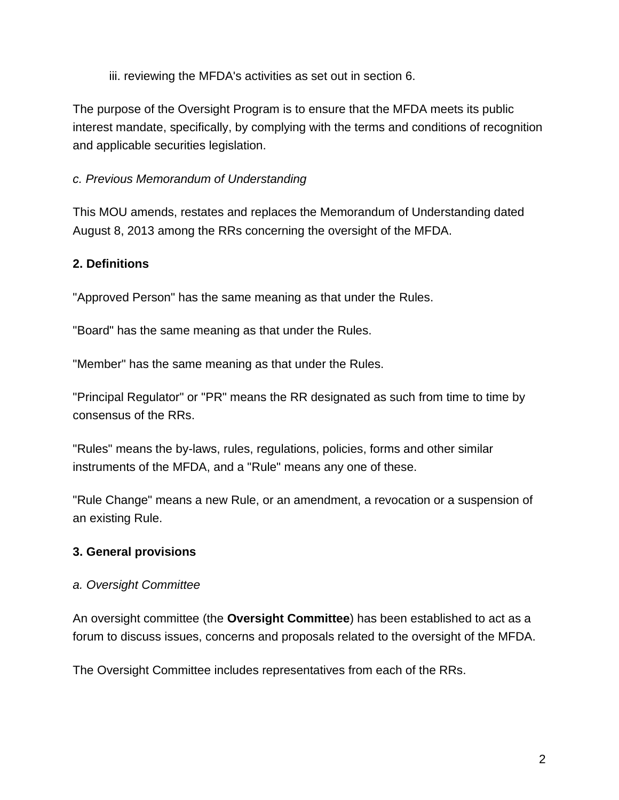iii. reviewing the MFDA's activities as set out in section 6.

The purpose of the Oversight Program is to ensure that the MFDA meets its public interest mandate, specifically, by complying with the terms and conditions of recognition and applicable securities legislation.

# *c. Previous Memorandum of Understanding*

This MOU amends, restates and replaces the Memorandum of Understanding dated August 8, 2013 among the RRs concerning the oversight of the MFDA.

# **2. Definitions**

"Approved Person" has the same meaning as that under the Rules.

"Board" has the same meaning as that under the Rules.

"Member" has the same meaning as that under the Rules.

"Principal Regulator" or "PR" means the RR designated as such from time to time by consensus of the RRs.

"Rules" means the by-laws, rules, regulations, policies, forms and other similar instruments of the MFDA, and a "Rule" means any one of these.

"Rule Change" means a new Rule, or an amendment, a revocation or a suspension of an existing Rule.

# **3. General provisions**

### *a. Oversight Committee*

An oversight committee (the **Oversight Committee**) has been established to act as a forum to discuss issues, concerns and proposals related to the oversight of the MFDA.

The Oversight Committee includes representatives from each of the RRs.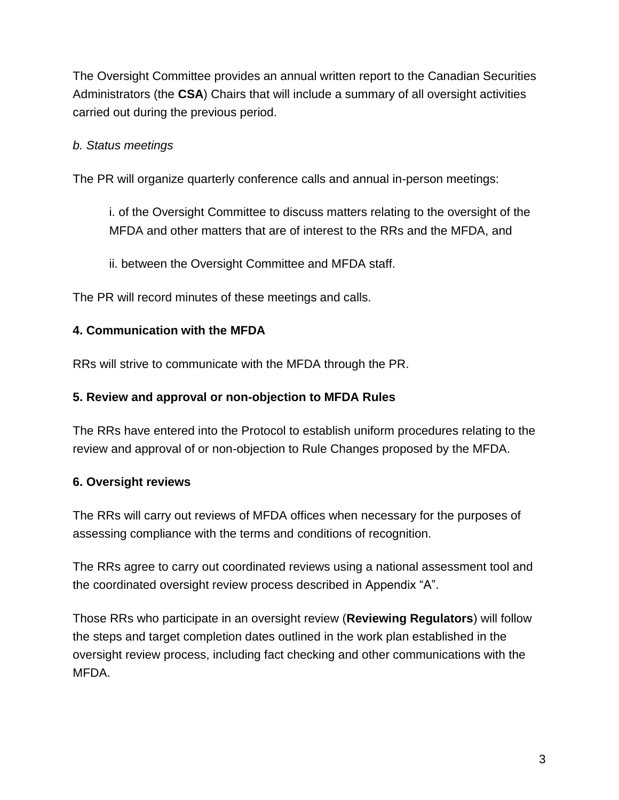The Oversight Committee provides an annual written report to the Canadian Securities Administrators (the **CSA**) Chairs that will include a summary of all oversight activities carried out during the previous period.

# *b. Status meetings*

The PR will organize quarterly conference calls and annual in-person meetings:

i. of the Oversight Committee to discuss matters relating to the oversight of the MFDA and other matters that are of interest to the RRs and the MFDA, and

ii. between the Oversight Committee and MFDA staff.

The PR will record minutes of these meetings and calls.

### **4. Communication with the MFDA**

RRs will strive to communicate with the MFDA through the PR.

#### **5. Review and approval or non-objection to MFDA Rules**

The RRs have entered into the Protocol to establish uniform procedures relating to the review and approval of or non-objection to Rule Changes proposed by the MFDA.

### **6. Oversight reviews**

The RRs will carry out reviews of MFDA offices when necessary for the purposes of assessing compliance with the terms and conditions of recognition.

The RRs agree to carry out coordinated reviews using a national assessment tool and the coordinated oversight review process described in Appendix "A".

Those RRs who participate in an oversight review (**Reviewing Regulators**) will follow the steps and target completion dates outlined in the work plan established in the oversight review process, including fact checking and other communications with the MFDA.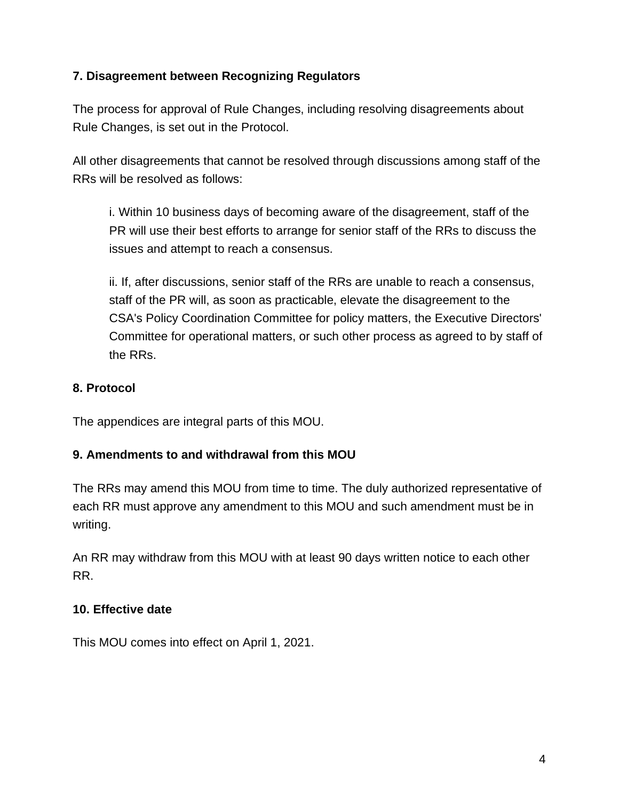# **7. Disagreement between Recognizing Regulators**

The process for approval of Rule Changes, including resolving disagreements about Rule Changes, is set out in the Protocol.

All other disagreements that cannot be resolved through discussions among staff of the RRs will be resolved as follows:

i. Within 10 business days of becoming aware of the disagreement, staff of the PR will use their best efforts to arrange for senior staff of the RRs to discuss the issues and attempt to reach a consensus.

ii. If, after discussions, senior staff of the RRs are unable to reach a consensus, staff of the PR will, as soon as practicable, elevate the disagreement to the CSA's Policy Coordination Committee for policy matters, the Executive Directors' Committee for operational matters, or such other process as agreed to by staff of the RRs.

### **8. Protocol**

The appendices are integral parts of this MOU.

### **9. Amendments to and withdrawal from this MOU**

The RRs may amend this MOU from time to time. The duly authorized representative of each RR must approve any amendment to this MOU and such amendment must be in writing.

An RR may withdraw from this MOU with at least 90 days written notice to each other RR.

#### **10. Effective date**

This MOU comes into effect on April 1, 2021.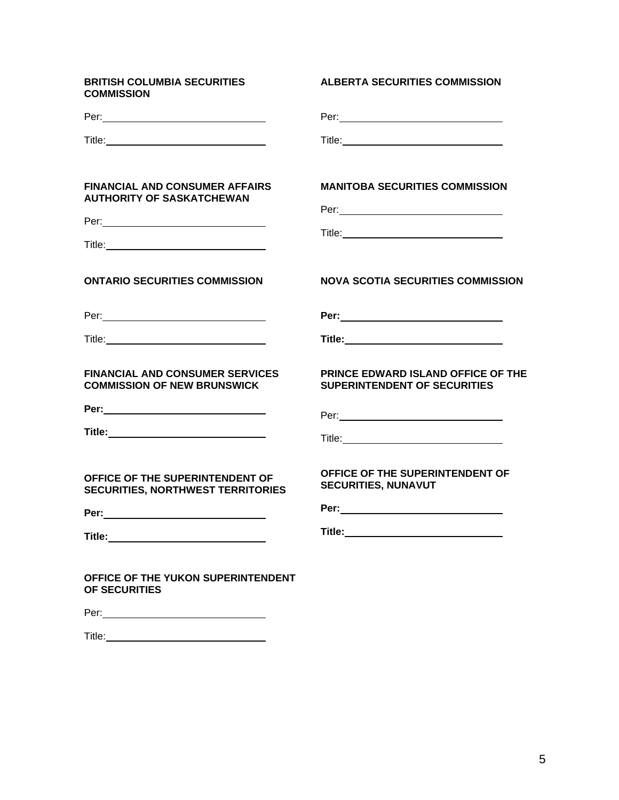| <b>BRITISH COLUMBIA SECURITIES</b><br><b>COMMISSION</b>                      | <b>ALBERTA SECURITIES COMMISSION</b>                                             |
|------------------------------------------------------------------------------|----------------------------------------------------------------------------------|
|                                                                              |                                                                                  |
|                                                                              |                                                                                  |
| <b>FINANCIAL AND CONSUMER AFFAIRS</b><br><b>AUTHORITY OF SASKATCHEWAN</b>    | <b>MANITOBA SECURITIES COMMISSION</b>                                            |
|                                                                              |                                                                                  |
|                                                                              |                                                                                  |
| <b>ONTARIO SECURITIES COMMISSION</b>                                         | <b>NOVA SCOTIA SECURITIES COMMISSION</b>                                         |
|                                                                              |                                                                                  |
|                                                                              | Title:__________________________________                                         |
| <b>FINANCIAL AND CONSUMER SERVICES</b><br><b>COMMISSION OF NEW BRUNSWICK</b> | <b>PRINCE EDWARD ISLAND OFFICE OF THE</b><br><b>SUPERINTENDENT OF SECURITIES</b> |
|                                                                              |                                                                                  |
|                                                                              |                                                                                  |
| OFFICE OF THE SUPERINTENDENT OF<br><b>SECURITIES, NORTHWEST TERRITORIES</b>  | OFFICE OF THE SUPERINTENDENT OF<br><b>SECURITIES, NUNAVUT</b>                    |
|                                                                              |                                                                                  |
| Title: _________________________                                             |                                                                                  |
| OFFICE OF THE YUKON SUPERINTENDENT<br>OF SECURITIES                          |                                                                                  |
|                                                                              |                                                                                  |
|                                                                              |                                                                                  |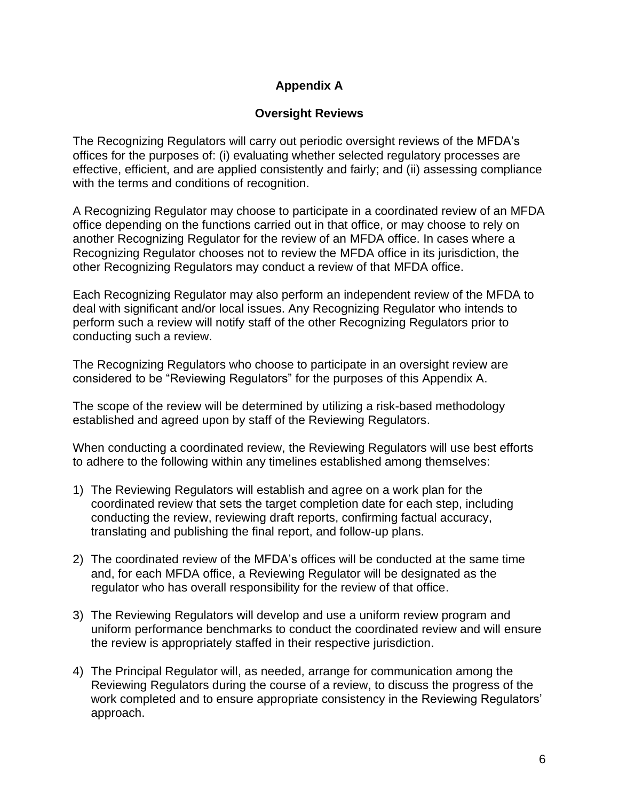# **Appendix A**

### **Oversight Reviews**

The Recognizing Regulators will carry out periodic oversight reviews of the MFDA's offices for the purposes of: (i) evaluating whether selected regulatory processes are effective, efficient, and are applied consistently and fairly; and (ii) assessing compliance with the terms and conditions of recognition.

A Recognizing Regulator may choose to participate in a coordinated review of an MFDA office depending on the functions carried out in that office, or may choose to rely on another Recognizing Regulator for the review of an MFDA office. In cases where a Recognizing Regulator chooses not to review the MFDA office in its jurisdiction, the other Recognizing Regulators may conduct a review of that MFDA office.

Each Recognizing Regulator may also perform an independent review of the MFDA to deal with significant and/or local issues. Any Recognizing Regulator who intends to perform such a review will notify staff of the other Recognizing Regulators prior to conducting such a review.

The Recognizing Regulators who choose to participate in an oversight review are considered to be "Reviewing Regulators" for the purposes of this Appendix A.

The scope of the review will be determined by utilizing a risk-based methodology established and agreed upon by staff of the Reviewing Regulators.

When conducting a coordinated review, the Reviewing Regulators will use best efforts to adhere to the following within any timelines established among themselves:

- 1) The Reviewing Regulators will establish and agree on a work plan for the coordinated review that sets the target completion date for each step, including conducting the review, reviewing draft reports, confirming factual accuracy, translating and publishing the final report, and follow-up plans.
- 2) The coordinated review of the MFDA's offices will be conducted at the same time and, for each MFDA office, a Reviewing Regulator will be designated as the regulator who has overall responsibility for the review of that office.
- 3) The Reviewing Regulators will develop and use a uniform review program and uniform performance benchmarks to conduct the coordinated review and will ensure the review is appropriately staffed in their respective jurisdiction.
- 4) The Principal Regulator will, as needed, arrange for communication among the Reviewing Regulators during the course of a review, to discuss the progress of the work completed and to ensure appropriate consistency in the Reviewing Regulators' approach.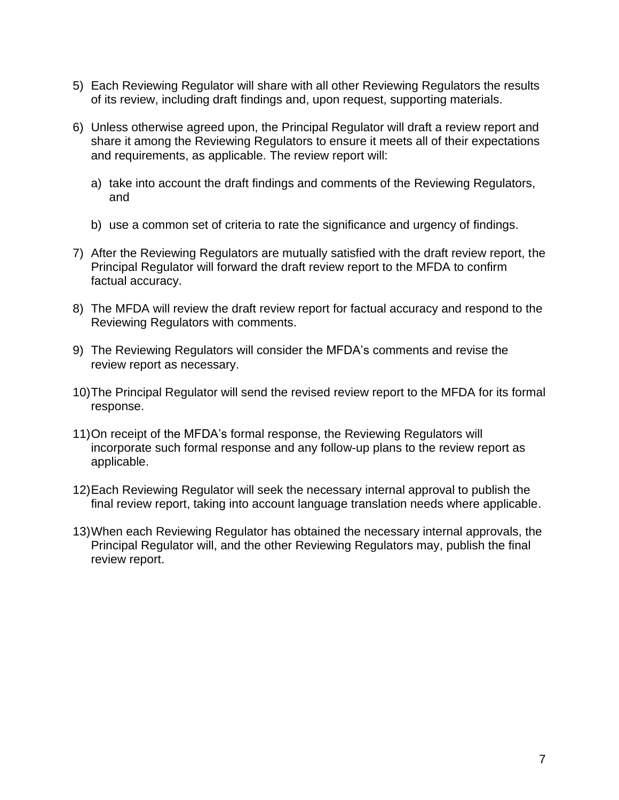- 5) Each Reviewing Regulator will share with all other Reviewing Regulators the results of its review, including draft findings and, upon request, supporting materials.
- 6) Unless otherwise agreed upon, the Principal Regulator will draft a review report and share it among the Reviewing Regulators to ensure it meets all of their expectations and requirements, as applicable. The review report will:
	- a) take into account the draft findings and comments of the Reviewing Regulators, and
	- b) use a common set of criteria to rate the significance and urgency of findings.
- 7) After the Reviewing Regulators are mutually satisfied with the draft review report, the Principal Regulator will forward the draft review report to the MFDA to confirm factual accuracy.
- 8) The MFDA will review the draft review report for factual accuracy and respond to the Reviewing Regulators with comments.
- 9) The Reviewing Regulators will consider the MFDA's comments and revise the review report as necessary.
- 10)The Principal Regulator will send the revised review report to the MFDA for its formal response.
- 11)On receipt of the MFDA's formal response, the Reviewing Regulators will incorporate such formal response and any follow-up plans to the review report as applicable.
- 12)Each Reviewing Regulator will seek the necessary internal approval to publish the final review report, taking into account language translation needs where applicable.
- 13)When each Reviewing Regulator has obtained the necessary internal approvals, the Principal Regulator will, and the other Reviewing Regulators may, publish the final review report.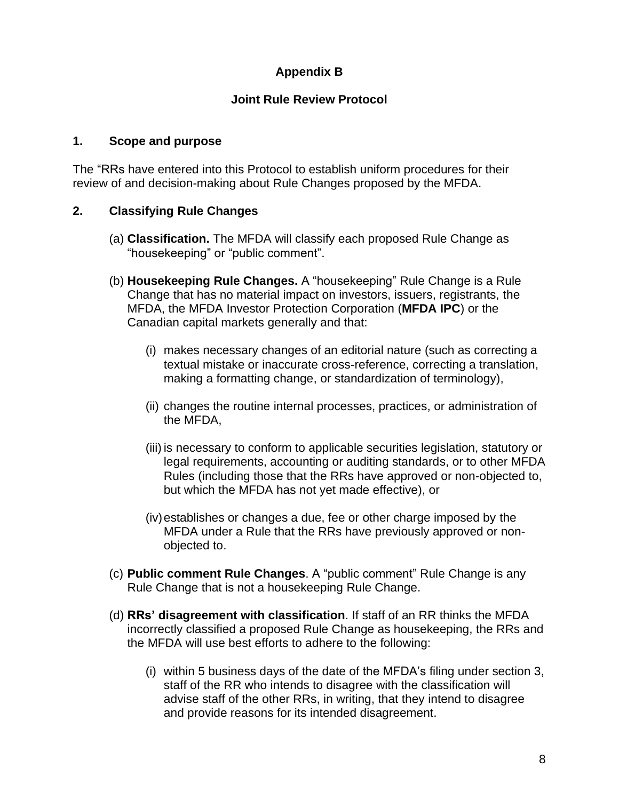# **Appendix B**

### **Joint Rule Review Protocol**

#### **1. Scope and purpose**

The "RRs have entered into this Protocol to establish uniform procedures for their review of and decision-making about Rule Changes proposed by the MFDA.

### **2. Classifying Rule Changes**

- (a) **Classification.** The MFDA will classify each proposed Rule Change as "housekeeping" or "public comment".
- (b) **Housekeeping Rule Changes.** A "housekeeping" Rule Change is a Rule Change that has no material impact on investors, issuers, registrants, the MFDA, the MFDA Investor Protection Corporation (**MFDA IPC**) or the Canadian capital markets generally and that:
	- (i) makes necessary changes of an editorial nature (such as correcting a textual mistake or inaccurate cross-reference, correcting a translation, making a formatting change, or standardization of terminology),
	- (ii) changes the routine internal processes, practices, or administration of the MFDA,
	- (iii) is necessary to conform to applicable securities legislation, statutory or legal requirements, accounting or auditing standards, or to other MFDA Rules (including those that the RRs have approved or non-objected to, but which the MFDA has not yet made effective), or
	- (iv)establishes or changes a due, fee or other charge imposed by the MFDA under a Rule that the RRs have previously approved or nonobjected to.
- (c) **Public comment Rule Changes**. A "public comment" Rule Change is any Rule Change that is not a housekeeping Rule Change.
- (d) **RRs' disagreement with classification**. If staff of an RR thinks the MFDA incorrectly classified a proposed Rule Change as housekeeping, the RRs and the MFDA will use best efforts to adhere to the following:
	- (i) within 5 business days of the date of the MFDA's filing under section 3, staff of the RR who intends to disagree with the classification will advise staff of the other RRs, in writing, that they intend to disagree and provide reasons for its intended disagreement.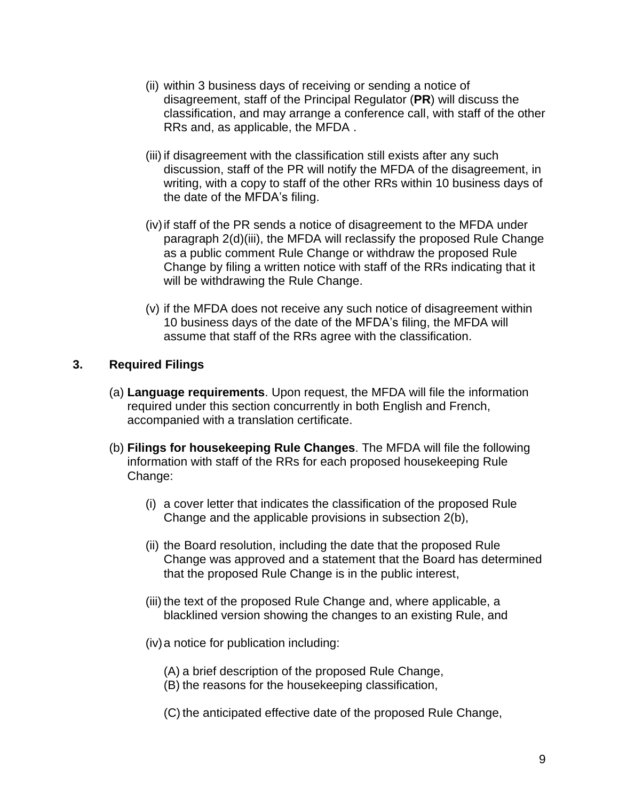- (ii) within 3 business days of receiving or sending a notice of disagreement, staff of the Principal Regulator (**PR**) will discuss the classification, and may arrange a conference call, with staff of the other RRs and, as applicable, the MFDA .
- (iii) if disagreement with the classification still exists after any such discussion, staff of the PR will notify the MFDA of the disagreement, in writing, with a copy to staff of the other RRs within 10 business days of the date of the MFDA's filing.
- (iv)if staff of the PR sends a notice of disagreement to the MFDA under paragraph 2(d)(iii), the MFDA will reclassify the proposed Rule Change as a public comment Rule Change or withdraw the proposed Rule Change by filing a written notice with staff of the RRs indicating that it will be withdrawing the Rule Change.
- (v) if the MFDA does not receive any such notice of disagreement within 10 business days of the date of the MFDA's filing, the MFDA will assume that staff of the RRs agree with the classification.

### **3. Required Filings**

- (a) **Language requirements**. Upon request, the MFDA will file the information required under this section concurrently in both English and French, accompanied with a translation certificate.
- (b) **Filings for housekeeping Rule Changes**. The MFDA will file the following information with staff of the RRs for each proposed housekeeping Rule Change:
	- (i) a cover letter that indicates the classification of the proposed Rule Change and the applicable provisions in subsection 2(b),
	- (ii) the Board resolution, including the date that the proposed Rule Change was approved and a statement that the Board has determined that the proposed Rule Change is in the public interest,
	- (iii) the text of the proposed Rule Change and, where applicable, a blacklined version showing the changes to an existing Rule, and
	- (iv)a notice for publication including:
		- (A) a brief description of the proposed Rule Change,
		- (B) the reasons for the housekeeping classification,
		- (C) the anticipated effective date of the proposed Rule Change,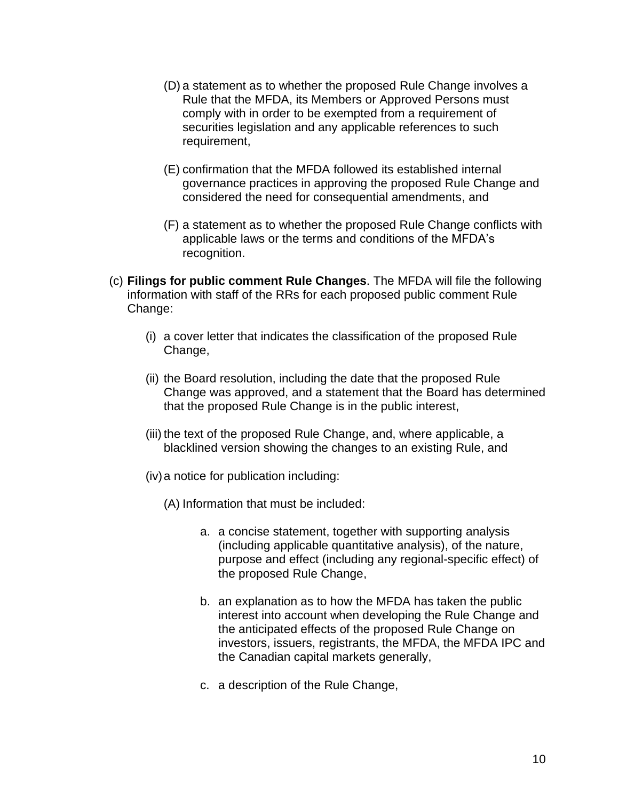- (D) a statement as to whether the proposed Rule Change involves a Rule that the MFDA, its Members or Approved Persons must comply with in order to be exempted from a requirement of securities legislation and any applicable references to such requirement,
- (E) confirmation that the MFDA followed its established internal governance practices in approving the proposed Rule Change and considered the need for consequential amendments, and
- (F) a statement as to whether the proposed Rule Change conflicts with applicable laws or the terms and conditions of the MFDA's recognition.
- (c) **Filings for public comment Rule Changes**. The MFDA will file the following information with staff of the RRs for each proposed public comment Rule Change:
	- (i) a cover letter that indicates the classification of the proposed Rule Change,
	- (ii) the Board resolution, including the date that the proposed Rule Change was approved, and a statement that the Board has determined that the proposed Rule Change is in the public interest,
	- (iii) the text of the proposed Rule Change, and, where applicable, a blacklined version showing the changes to an existing Rule, and
	- (iv)a notice for publication including:
		- (A) Information that must be included:
			- a. a concise statement, together with supporting analysis (including applicable quantitative analysis), of the nature, purpose and effect (including any regional-specific effect) of the proposed Rule Change,
			- b. an explanation as to how the MFDA has taken the public interest into account when developing the Rule Change and the anticipated effects of the proposed Rule Change on investors, issuers, registrants, the MFDA, the MFDA IPC and the Canadian capital markets generally,
			- c. a description of the Rule Change,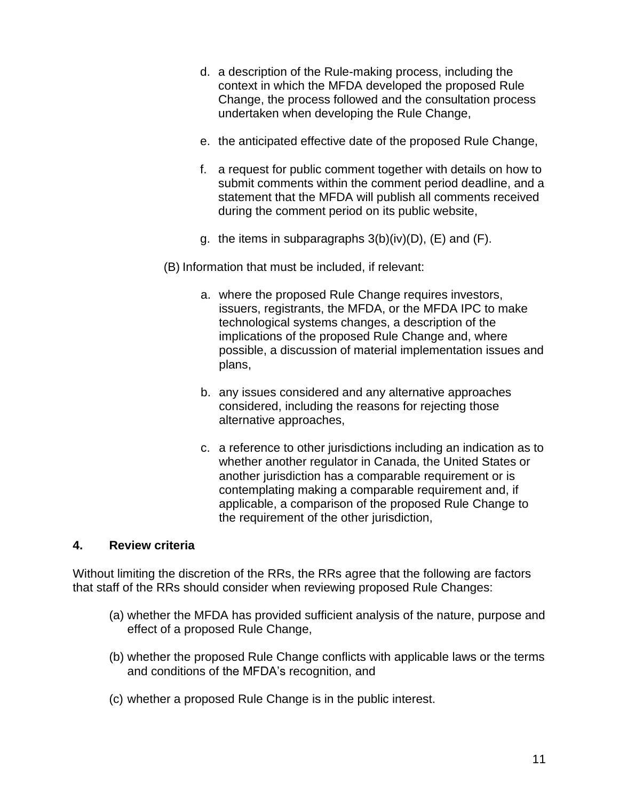- d. a description of the Rule-making process, including the context in which the MFDA developed the proposed Rule Change, the process followed and the consultation process undertaken when developing the Rule Change,
- e. the anticipated effective date of the proposed Rule Change,
- f. a request for public comment together with details on how to submit comments within the comment period deadline, and a statement that the MFDA will publish all comments received during the comment period on its public website,
- g. the items in subparagraphs  $3(b)(iv)(D)$ ,  $(E)$  and  $(F)$ .

(B) Information that must be included, if relevant:

- a. where the proposed Rule Change requires investors, issuers, registrants, the MFDA, or the MFDA IPC to make technological systems changes, a description of the implications of the proposed Rule Change and, where possible, a discussion of material implementation issues and plans,
- b. any issues considered and any alternative approaches considered, including the reasons for rejecting those alternative approaches,
- c. a reference to other jurisdictions including an indication as to whether another regulator in Canada, the United States or another jurisdiction has a comparable requirement or is contemplating making a comparable requirement and, if applicable, a comparison of the proposed Rule Change to the requirement of the other jurisdiction,

#### **4. Review criteria**

Without limiting the discretion of the RRs, the RRs agree that the following are factors that staff of the RRs should consider when reviewing proposed Rule Changes:

- (a) whether the MFDA has provided sufficient analysis of the nature, purpose and effect of a proposed Rule Change,
- (b) whether the proposed Rule Change conflicts with applicable laws or the terms and conditions of the MFDA's recognition, and
- (c) whether a proposed Rule Change is in the public interest.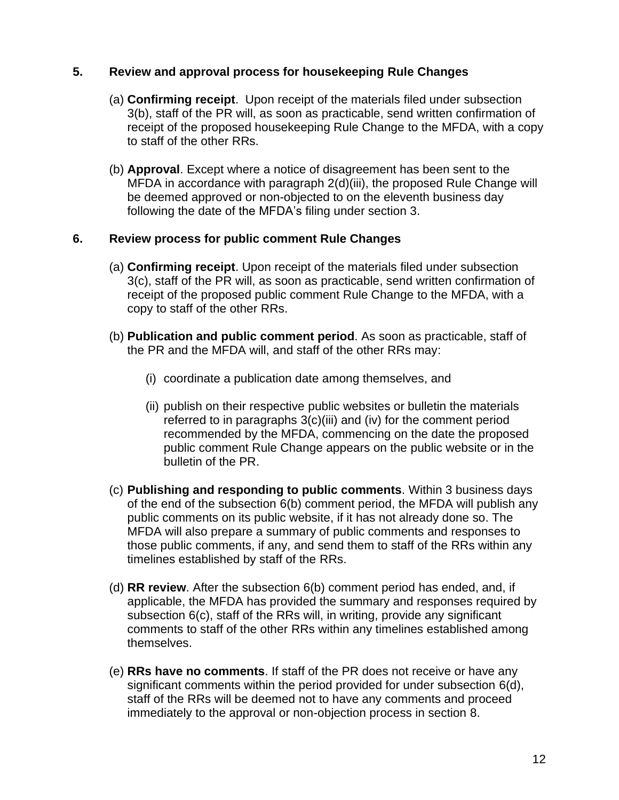#### **5. Review and approval process for housekeeping Rule Changes**

- (a) **Confirming receipt**. Upon receipt of the materials filed under subsection 3(b), staff of the PR will, as soon as practicable, send written confirmation of receipt of the proposed housekeeping Rule Change to the MFDA, with a copy to staff of the other RRs.
- (b) **Approval**. Except where a notice of disagreement has been sent to the MFDA in accordance with paragraph 2(d)(iii), the proposed Rule Change will be deemed approved or non-objected to on the eleventh business day following the date of the MFDA's filing under section 3.

#### **6. Review process for public comment Rule Changes**

- (a) **Confirming receipt**. Upon receipt of the materials filed under subsection 3(c), staff of the PR will, as soon as practicable, send written confirmation of receipt of the proposed public comment Rule Change to the MFDA, with a copy to staff of the other RRs.
- (b) **Publication and public comment period**. As soon as practicable, staff of the PR and the MFDA will, and staff of the other RRs may:
	- (i) coordinate a publication date among themselves, and
	- (ii) publish on their respective public websites or bulletin the materials referred to in paragraphs 3(c)(iii) and (iv) for the comment period recommended by the MFDA, commencing on the date the proposed public comment Rule Change appears on the public website or in the bulletin of the PR.
- (c) **Publishing and responding to public comments**. Within 3 business days of the end of the subsection 6(b) comment period, the MFDA will publish any public comments on its public website, if it has not already done so. The MFDA will also prepare a summary of public comments and responses to those public comments, if any, and send them to staff of the RRs within any timelines established by staff of the RRs.
- (d) **RR review**. After the subsection 6(b) comment period has ended, and, if applicable, the MFDA has provided the summary and responses required by subsection 6(c), staff of the RRs will, in writing, provide any significant comments to staff of the other RRs within any timelines established among themselves.
- (e) **RRs have no comments**. If staff of the PR does not receive or have any significant comments within the period provided for under subsection 6(d), staff of the RRs will be deemed not to have any comments and proceed immediately to the approval or non-objection process in section 8.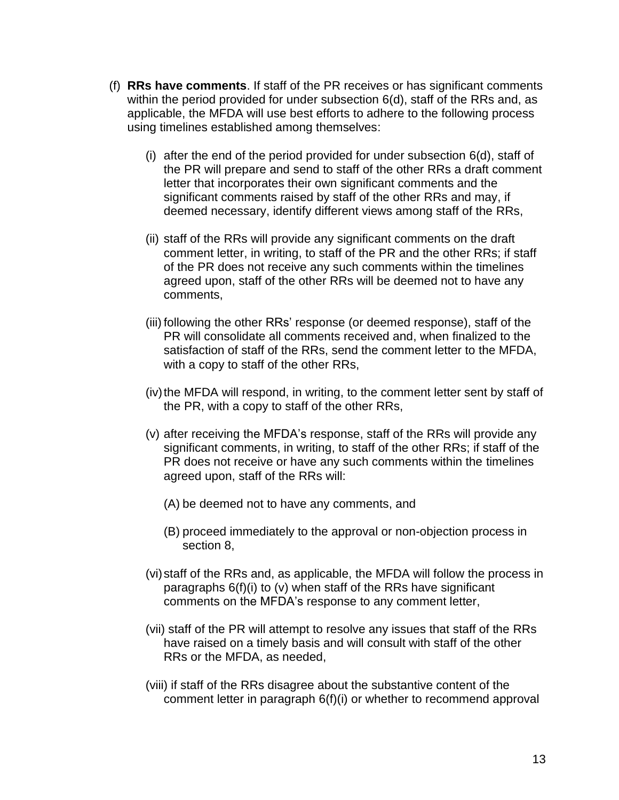- (f) **RRs have comments**. If staff of the PR receives or has significant comments within the period provided for under subsection 6(d), staff of the RRs and, as applicable, the MFDA will use best efforts to adhere to the following process using timelines established among themselves:
	- (i) after the end of the period provided for under subsection 6(d), staff of the PR will prepare and send to staff of the other RRs a draft comment letter that incorporates their own significant comments and the significant comments raised by staff of the other RRs and may, if deemed necessary, identify different views among staff of the RRs,
	- (ii) staff of the RRs will provide any significant comments on the draft comment letter, in writing, to staff of the PR and the other RRs; if staff of the PR does not receive any such comments within the timelines agreed upon, staff of the other RRs will be deemed not to have any comments,
	- (iii) following the other RRs' response (or deemed response), staff of the PR will consolidate all comments received and, when finalized to the satisfaction of staff of the RRs, send the comment letter to the MFDA, with a copy to staff of the other RRs,
	- (iv) the MFDA will respond, in writing, to the comment letter sent by staff of the PR, with a copy to staff of the other RRs,
	- (v) after receiving the MFDA's response, staff of the RRs will provide any significant comments, in writing, to staff of the other RRs; if staff of the PR does not receive or have any such comments within the timelines agreed upon, staff of the RRs will:
		- (A) be deemed not to have any comments, and
		- (B) proceed immediately to the approval or non-objection process in section 8,
	- (vi)staff of the RRs and, as applicable, the MFDA will follow the process in paragraphs 6(f)(i) to (v) when staff of the RRs have significant comments on the MFDA's response to any comment letter,
	- (vii) staff of the PR will attempt to resolve any issues that staff of the RRs have raised on a timely basis and will consult with staff of the other RRs or the MFDA, as needed,
	- (viii) if staff of the RRs disagree about the substantive content of the comment letter in paragraph 6(f)(i) or whether to recommend approval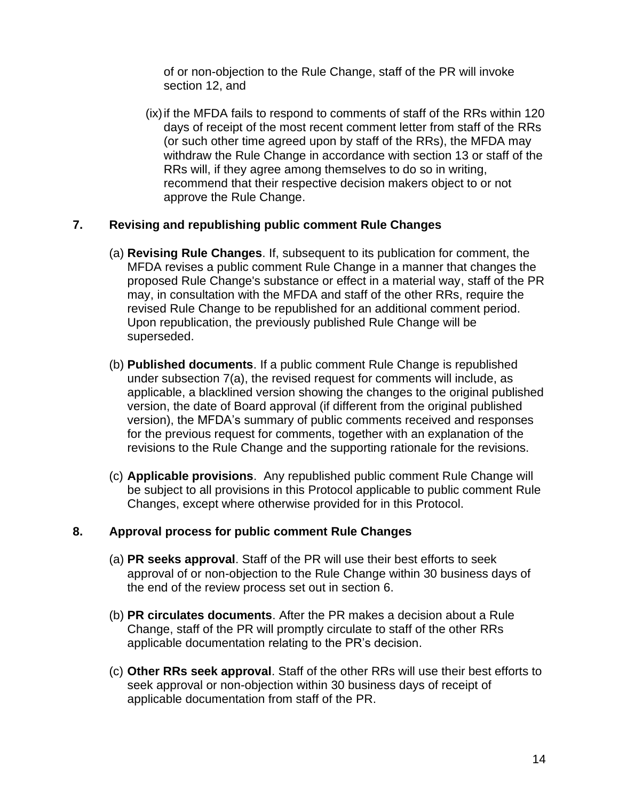of or non-objection to the Rule Change, staff of the PR will invoke section 12, and

(ix)if the MFDA fails to respond to comments of staff of the RRs within 120 days of receipt of the most recent comment letter from staff of the RRs (or such other time agreed upon by staff of the RRs), the MFDA may withdraw the Rule Change in accordance with section 13 or staff of the RRs will, if they agree among themselves to do so in writing, recommend that their respective decision makers object to or not approve the Rule Change.

#### **7. Revising and republishing public comment Rule Changes**

- (a) **Revising Rule Changes**. If, subsequent to its publication for comment, the MFDA revises a public comment Rule Change in a manner that changes the proposed Rule Change's substance or effect in a material way, staff of the PR may, in consultation with the MFDA and staff of the other RRs, require the revised Rule Change to be republished for an additional comment period. Upon republication, the previously published Rule Change will be superseded.
- (b) **Published documents**. If a public comment Rule Change is republished under subsection 7(a), the revised request for comments will include, as applicable, a blacklined version showing the changes to the original published version, the date of Board approval (if different from the original published version), the MFDA's summary of public comments received and responses for the previous request for comments, together with an explanation of the revisions to the Rule Change and the supporting rationale for the revisions.
- (c) **Applicable provisions**. Any republished public comment Rule Change will be subject to all provisions in this Protocol applicable to public comment Rule Changes, except where otherwise provided for in this Protocol.

#### **8. Approval process for public comment Rule Changes**

- (a) **PR seeks approval**. Staff of the PR will use their best efforts to seek approval of or non-objection to the Rule Change within 30 business days of the end of the review process set out in section 6.
- (b) **PR circulates documents**. After the PR makes a decision about a Rule Change, staff of the PR will promptly circulate to staff of the other RRs applicable documentation relating to the PR's decision.
- (c) **Other RRs seek approval**. Staff of the other RRs will use their best efforts to seek approval or non-objection within 30 business days of receipt of applicable documentation from staff of the PR.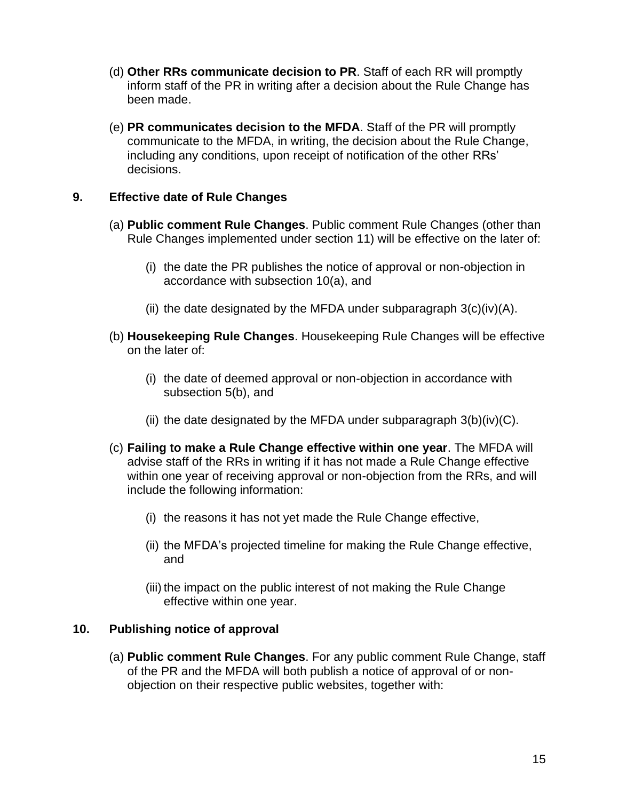- (d) **Other RRs communicate decision to PR**. Staff of each RR will promptly inform staff of the PR in writing after a decision about the Rule Change has been made.
- (e) **PR communicates decision to the MFDA**. Staff of the PR will promptly communicate to the MFDA, in writing, the decision about the Rule Change, including any conditions, upon receipt of notification of the other RRs' decisions.

### **9. Effective date of Rule Changes**

- (a) **Public comment Rule Changes**. Public comment Rule Changes (other than Rule Changes implemented under section 11) will be effective on the later of:
	- (i) the date the PR publishes the notice of approval or non-objection in accordance with subsection 10(a), and
	- (ii) the date designated by the MFDA under subparagraph  $3(c)(iv)(A)$ .
- (b) **Housekeeping Rule Changes**. Housekeeping Rule Changes will be effective on the later of:
	- (i) the date of deemed approval or non-objection in accordance with subsection 5(b), and
	- (ii) the date designated by the MFDA under subparagraph  $3(b)(iv)(C)$ .
- (c) **Failing to make a Rule Change effective within one year**. The MFDA will advise staff of the RRs in writing if it has not made a Rule Change effective within one year of receiving approval or non-objection from the RRs, and will include the following information:
	- (i) the reasons it has not yet made the Rule Change effective,
	- (ii) the MFDA's projected timeline for making the Rule Change effective, and
	- (iii) the impact on the public interest of not making the Rule Change effective within one year.

### **10. Publishing notice of approval**

(a) **Public comment Rule Changes**. For any public comment Rule Change, staff of the PR and the MFDA will both publish a notice of approval of or nonobjection on their respective public websites, together with: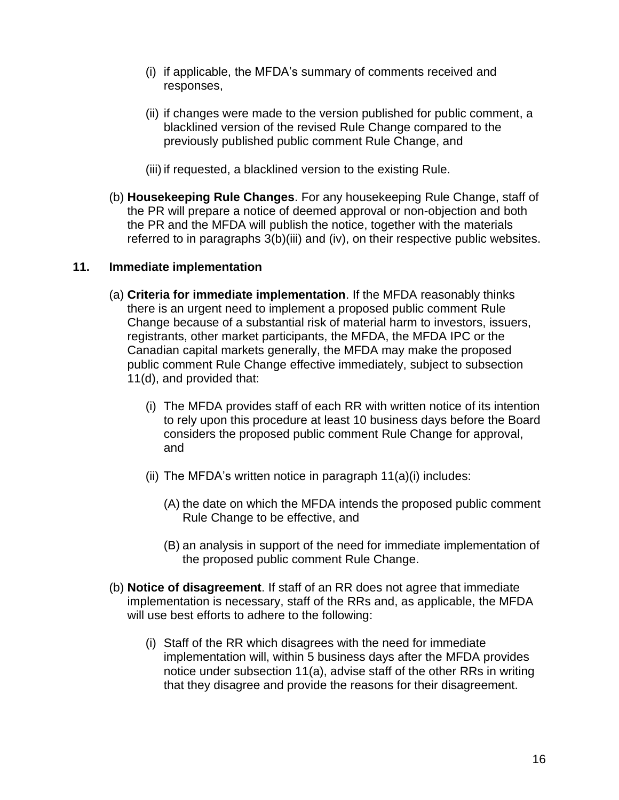- (i) if applicable, the MFDA's summary of comments received and responses,
- (ii) if changes were made to the version published for public comment, a blacklined version of the revised Rule Change compared to the previously published public comment Rule Change, and
- (iii) if requested, a blacklined version to the existing Rule.
- (b) **Housekeeping Rule Changes**. For any housekeeping Rule Change, staff of the PR will prepare a notice of deemed approval or non-objection and both the PR and the MFDA will publish the notice, together with the materials referred to in paragraphs 3(b)(iii) and (iv), on their respective public websites.

#### **11. Immediate implementation**

- (a) **Criteria for immediate implementation**. If the MFDA reasonably thinks there is an urgent need to implement a proposed public comment Rule Change because of a substantial risk of material harm to investors, issuers, registrants, other market participants, the MFDA, the MFDA IPC or the Canadian capital markets generally, the MFDA may make the proposed public comment Rule Change effective immediately, subject to subsection 11(d), and provided that:
	- (i) The MFDA provides staff of each RR with written notice of its intention to rely upon this procedure at least 10 business days before the Board considers the proposed public comment Rule Change for approval, and
	- (ii) The MFDA's written notice in paragraph  $11(a)(i)$  includes:
		- (A) the date on which the MFDA intends the proposed public comment Rule Change to be effective, and
		- (B) an analysis in support of the need for immediate implementation of the proposed public comment Rule Change.
- (b) **Notice of disagreement**. If staff of an RR does not agree that immediate implementation is necessary, staff of the RRs and, as applicable, the MFDA will use best efforts to adhere to the following:
	- (i) Staff of the RR which disagrees with the need for immediate implementation will, within 5 business days after the MFDA provides notice under subsection 11(a), advise staff of the other RRs in writing that they disagree and provide the reasons for their disagreement.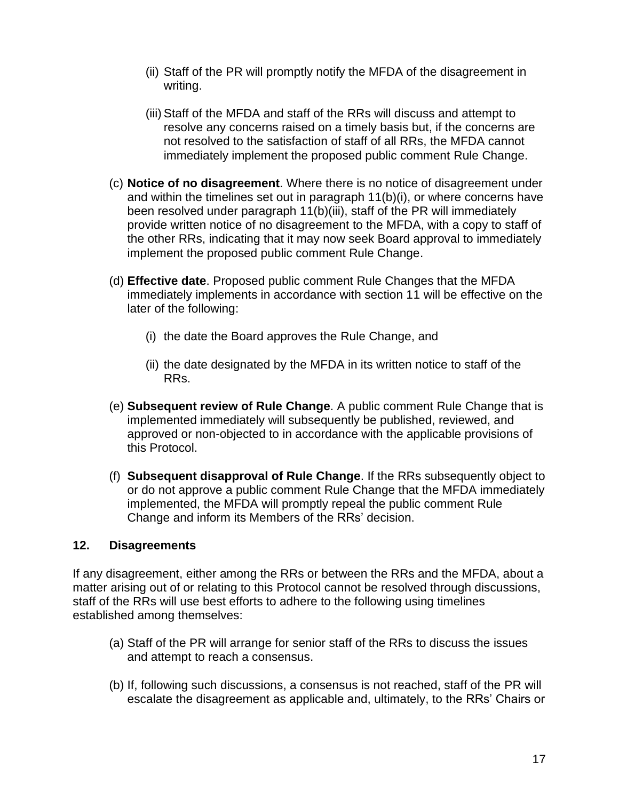- (ii) Staff of the PR will promptly notify the MFDA of the disagreement in writing.
- (iii) Staff of the MFDA and staff of the RRs will discuss and attempt to resolve any concerns raised on a timely basis but, if the concerns are not resolved to the satisfaction of staff of all RRs, the MFDA cannot immediately implement the proposed public comment Rule Change.
- (c) **Notice of no disagreement**. Where there is no notice of disagreement under and within the timelines set out in paragraph 11(b)(i), or where concerns have been resolved under paragraph 11(b)(iii), staff of the PR will immediately provide written notice of no disagreement to the MFDA, with a copy to staff of the other RRs, indicating that it may now seek Board approval to immediately implement the proposed public comment Rule Change.
- (d) **Effective date**. Proposed public comment Rule Changes that the MFDA immediately implements in accordance with section 11 will be effective on the later of the following:
	- (i) the date the Board approves the Rule Change, and
	- (ii) the date designated by the MFDA in its written notice to staff of the RRs.
- (e) **Subsequent review of Rule Change**. A public comment Rule Change that is implemented immediately will subsequently be published, reviewed, and approved or non-objected to in accordance with the applicable provisions of this Protocol.
- (f) **Subsequent disapproval of Rule Change**. If the RRs subsequently object to or do not approve a public comment Rule Change that the MFDA immediately implemented, the MFDA will promptly repeal the public comment Rule Change and inform its Members of the RRs' decision.

### **12. Disagreements**

If any disagreement, either among the RRs or between the RRs and the MFDA, about a matter arising out of or relating to this Protocol cannot be resolved through discussions, staff of the RRs will use best efforts to adhere to the following using timelines established among themselves:

- (a) Staff of the PR will arrange for senior staff of the RRs to discuss the issues and attempt to reach a consensus.
- (b) If, following such discussions, a consensus is not reached, staff of the PR will escalate the disagreement as applicable and, ultimately, to the RRs' Chairs or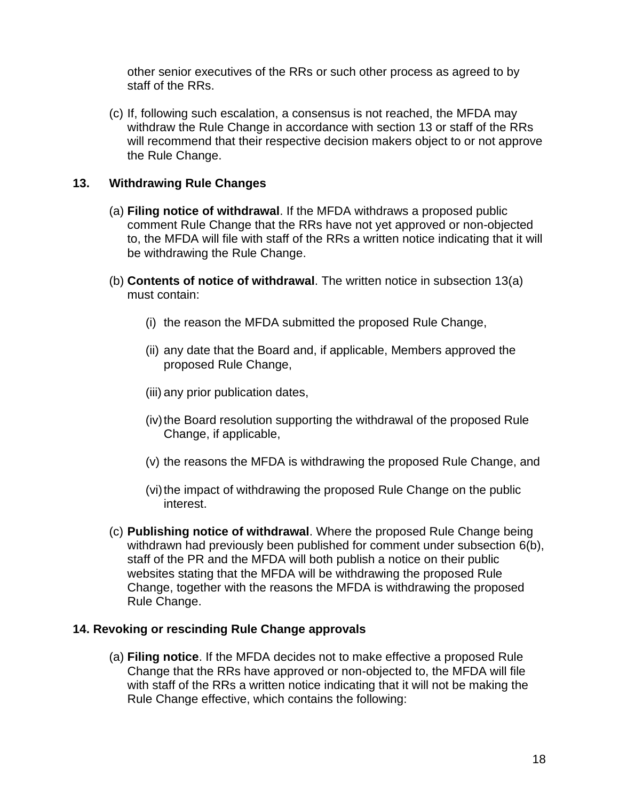other senior executives of the RRs or such other process as agreed to by staff of the RRs.

(c) If, following such escalation, a consensus is not reached, the MFDA may withdraw the Rule Change in accordance with section 13 or staff of the RRs will recommend that their respective decision makers object to or not approve the Rule Change.

### **13. Withdrawing Rule Changes**

- (a) **Filing notice of withdrawal**. If the MFDA withdraws a proposed public comment Rule Change that the RRs have not yet approved or non-objected to, the MFDA will file with staff of the RRs a written notice indicating that it will be withdrawing the Rule Change.
- (b) **Contents of notice of withdrawal**. The written notice in subsection 13(a) must contain:
	- (i) the reason the MFDA submitted the proposed Rule Change,
	- (ii) any date that the Board and, if applicable, Members approved the proposed Rule Change,
	- (iii) any prior publication dates,
	- (iv) the Board resolution supporting the withdrawal of the proposed Rule Change, if applicable,
	- (v) the reasons the MFDA is withdrawing the proposed Rule Change, and
	- (vi) the impact of withdrawing the proposed Rule Change on the public interest.
- (c) **Publishing notice of withdrawal**. Where the proposed Rule Change being withdrawn had previously been published for comment under subsection 6(b), staff of the PR and the MFDA will both publish a notice on their public websites stating that the MFDA will be withdrawing the proposed Rule Change, together with the reasons the MFDA is withdrawing the proposed Rule Change.

### **14. Revoking or rescinding Rule Change approvals**

(a) **Filing notice**. If the MFDA decides not to make effective a proposed Rule Change that the RRs have approved or non-objected to, the MFDA will file with staff of the RRs a written notice indicating that it will not be making the Rule Change effective, which contains the following: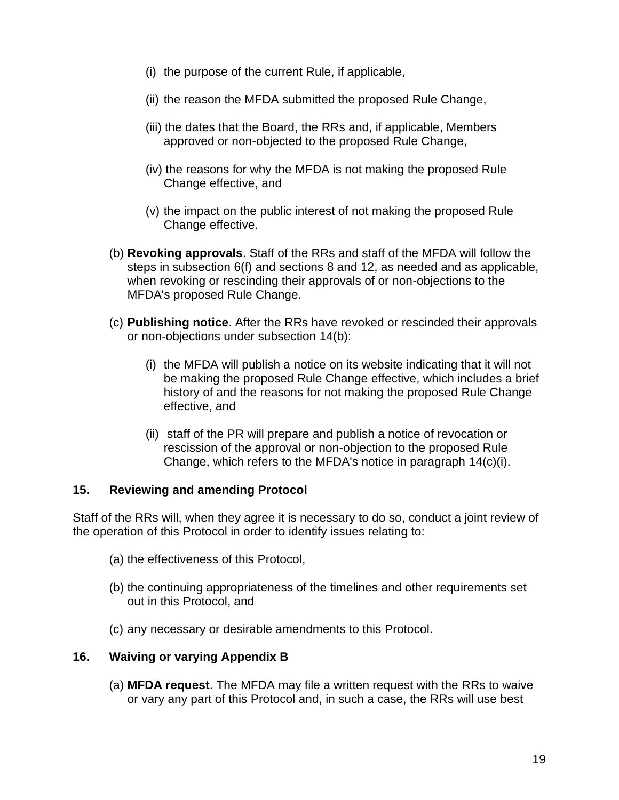- (i) the purpose of the current Rule, if applicable,
- (ii) the reason the MFDA submitted the proposed Rule Change,
- (iii) the dates that the Board, the RRs and, if applicable, Members approved or non-objected to the proposed Rule Change,
- (iv) the reasons for why the MFDA is not making the proposed Rule Change effective, and
- (v) the impact on the public interest of not making the proposed Rule Change effective.
- (b) **Revoking approvals**. Staff of the RRs and staff of the MFDA will follow the steps in subsection 6(f) and sections 8 and 12, as needed and as applicable, when revoking or rescinding their approvals of or non-objections to the MFDA's proposed Rule Change.
- (c) **Publishing notice**. After the RRs have revoked or rescinded their approvals or non-objections under subsection 14(b):
	- (i) the MFDA will publish a notice on its website indicating that it will not be making the proposed Rule Change effective, which includes a brief history of and the reasons for not making the proposed Rule Change effective, and
	- (ii) staff of the PR will prepare and publish a notice of revocation or rescission of the approval or non-objection to the proposed Rule Change, which refers to the MFDA's notice in paragraph 14(c)(i).

#### **15. Reviewing and amending Protocol**

Staff of the RRs will, when they agree it is necessary to do so, conduct a joint review of the operation of this Protocol in order to identify issues relating to:

- (a) the effectiveness of this Protocol,
- (b) the continuing appropriateness of the timelines and other requirements set out in this Protocol, and
- (c) any necessary or desirable amendments to this Protocol.

#### **16. Waiving or varying Appendix B**

(a) **MFDA request**. The MFDA may file a written request with the RRs to waive or vary any part of this Protocol and, in such a case, the RRs will use best